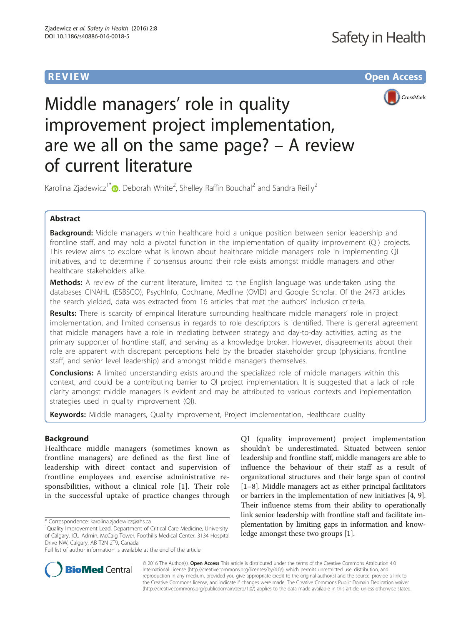# **REVIEW CONSTRUCTION CONSTRUCTION CONSTRUCTS**



# Middle managers' role in quality improvement project implementation, are we all on the same page? – A review of current literature

Karolina Zjadewicz $^{\dagger}$  (D[,](http://orcid.org/0000-0002-9255-6393) Deborah White<sup>2</sup>, Shelley Raffin Bouchal<sup>2</sup> and Sandra Reilly<sup>2</sup>

# Abstract

Background: Middle managers within healthcare hold a unique position between senior leadership and frontline staff, and may hold a pivotal function in the implementation of quality improvement (QI) projects. This review aims to explore what is known about healthcare middle managers' role in implementing QI initiatives, and to determine if consensus around their role exists amongst middle managers and other healthcare stakeholders alike.

**Methods:** A review of the current literature, limited to the English language was undertaken using the databases CINAHL (ESBSCO), PsychInfo, Cochrane, Medline (OVID) and Google Scholar. Of the 2473 articles the search yielded, data was extracted from 16 articles that met the authors' inclusion criteria.

Results: There is scarcity of empirical literature surrounding healthcare middle managers' role in project implementation, and limited consensus in regards to role descriptors is identified. There is general agreement that middle managers have a role in mediating between strategy and day-to-day activities, acting as the primary supporter of frontline staff, and serving as a knowledge broker. However, disagreements about their role are apparent with discrepant perceptions held by the broader stakeholder group (physicians, frontline staff, and senior level leadership) and amongst middle managers themselves.

**Conclusions:** A limited understanding exists around the specialized role of middle managers within this context, and could be a contributing barrier to QI project implementation. It is suggested that a lack of role clarity amongst middle managers is evident and may be attributed to various contexts and implementation strategies used in quality improvement (QI).

Keywords: Middle managers, Quality improvement, Project implementation, Healthcare quality

# Background

Healthcare middle managers (sometimes known as frontline managers) are defined as the first line of leadership with direct contact and supervision of frontline employees and exercise administrative responsibilities, without a clinical role [[1](#page-6-0)]. Their role in the successful uptake of practice changes through QI (quality improvement) project implementation shouldn't be underestimated. Situated between senior leadership and frontline staff, middle managers are able to influence the behaviour of their staff as a result of organizational structures and their large span of control [[1](#page-6-0)–[8](#page-6-0)]. Middle managers act as either principal facilitators or barriers in the implementation of new initiatives [\[4](#page-6-0), [9](#page-6-0)]. Their influence stems from their ability to operationally link senior leadership with frontline staff and facilitate implementation by limiting gaps in information and knowledge amongst these two groups [[1\]](#page-6-0).



© 2016 The Author(s). Open Access This article is distributed under the terms of the Creative Commons Attribution 4.0 International License [\(http://creativecommons.org/licenses/by/4.0/](http://creativecommons.org/licenses/by/4.0/)), which permits unrestricted use, distribution, and reproduction in any medium, provided you give appropriate credit to the original author(s) and the source, provide a link to the Creative Commons license, and indicate if changes were made. The Creative Commons Public Domain Dedication waiver [\(http://creativecommons.org/publicdomain/zero/1.0/](http://creativecommons.org/publicdomain/zero/1.0/)) applies to the data made available in this article, unless otherwise stated.

<sup>\*</sup> Correspondence: [karolina.zjadewicz@ahs.ca](mailto:karolina.zjadewicz@ahs.ca) <sup>1</sup>

<sup>&</sup>lt;sup>1</sup>Quality Improvement Lead, Department of Critical Care Medicine, University of Calgary, ICU Admin, McCaig Tower, Foothills Medical Center, 3134 Hospital Drive NW, Calgary, AB T2N 2T9, Canada

Full list of author information is available at the end of the article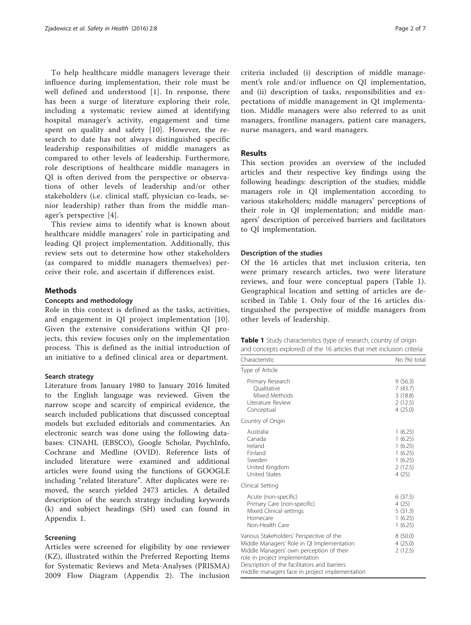To help healthcare middle managers leverage their influence during implementation, their role must be well defined and understood [[1\]](#page-6-0). In response, there has been a surge of literature exploring their role, including a systematic review aimed at identifying hospital manager's activity, engagement and time spent on quality and safety [[10](#page-6-0)]. However, the research to date has not always distinguished specific leadership responsibilities of middle managers as compared to other levels of leadership. Furthermore, role descriptions of healthcare middle managers in QI is often derived from the perspective or observations of other levels of leadership and/or other stakeholders (i.e. clinical staff, physician co-leads, senior leadership) rather than from the middle manager's perspective [\[4\]](#page-6-0).

This review aims to identify what is known about healthcare middle managers' role in participating and leading QI project implementation. Additionally, this review sets out to determine how other stakeholders (as compared to middle managers themselves) perceive their role, and ascertain if differences exist.

# **Methods**

#### Concepts and methodology

Role in this context is defined as the tasks, activities, and engagement in QI project implementation [[10](#page-6-0)]. Given the extensive considerations within QI projects, this review focuses only on the implementation process. This is defined as the initial introduction of an initiative to a defined clinical area or department.

# Search strategy

Literature from January 1980 to January 2016 limited to the English language was reviewed. Given the narrow scope and scarcity of empirical evidence, the search included publications that discussed conceptual models but excluded editorials and commentaries. An electronic search was done using the following databases: CINAHL (EBSCO), Google Scholar, PsychInfo, Cochrane and Medline (OVID). Reference lists of included literature were examined and additional articles were found using the functions of GOOGLE including "related literature". After duplicates were removed, the search yielded 2473 articles. A detailed description of the search strategy including keywords (k) and subject headings (SH) used can found in [Appendix 1](#page-5-0).

# Screening

Articles were screened for eligibility by one reviewer (KZ), illustrated within the Preferred Reporting Items for Systematic Reviews and Meta-Analyses (PRISMA) 2009 Flow Diagram [\(Appendix 2](#page-6-0)). The inclusion

criteria included (i) description of middle management's role and/or influence on QI implementation, and (ii) description of tasks, responsibilities and expectations of middle management in QI implementation. Middle managers were also referred to as unit managers, frontline managers, patient care managers, nurse managers, and ward managers.

#### Results

This section provides an overview of the included articles and their respective key findings using the following headings: description of the studies; middle managers role in QI implementation according to various stakeholders; middle managers' perceptions of their role in QI implementation; and middle managers' description of perceived barriers and facilitators to QI implementation.

#### Description of the studies

Of the 16 articles that met inclusion criteria, ten were primary research articles, two were literature reviews, and four were conceptual papers (Table 1). Geographical location and setting of articles are described in Table 1. Only four of the 16 articles distinguished the perspective of middle managers from other levels of leadership.

| Table 1 Study characteristics (type of research, country of origin    |
|-----------------------------------------------------------------------|
| and concepts explored) of the 16 articles that met inclusion criteria |

| Characteristic                                                                                                                                                                                                                                                         | No (%) tota                                                             |
|------------------------------------------------------------------------------------------------------------------------------------------------------------------------------------------------------------------------------------------------------------------------|-------------------------------------------------------------------------|
| Type of Article                                                                                                                                                                                                                                                        |                                                                         |
| Primary Research<br>Oualitative<br>Mixed Methods<br>Literature Review<br>Conceptual                                                                                                                                                                                    | 9(56.3)<br>7(43.7)<br>3(18.8)<br>2(12.5)<br>4(25.0)                     |
| Country of Origin                                                                                                                                                                                                                                                      |                                                                         |
| Australia<br>Canada<br>Ireland<br>Finland<br>Sweden<br>United Kingdom<br><b>United States</b>                                                                                                                                                                          | 1(6.25)<br>1(6.25)<br>1(6.25)<br>1(6.25)<br>1(6.25)<br>2(12.5)<br>4(25) |
| Clinical Setting                                                                                                                                                                                                                                                       |                                                                         |
| Acute (non-specific)<br>Primary Care (non-specific)<br>Mixed Clinical settings<br>Homecare<br>Non-Health Care                                                                                                                                                          | 6(37.5)<br>4(25)<br>5(31.3)<br>1(6.25)<br>1(6.25)                       |
| Various Stakeholders' Perspective of the<br>Middle Managers' Role in QI Implementation<br>Middle Managers' own perception of their<br>role in project implementation<br>Description of the facilitators and barriers<br>middle managers face in project implementation | 8(50.0)<br>4(25.0)<br>2(12.5)                                           |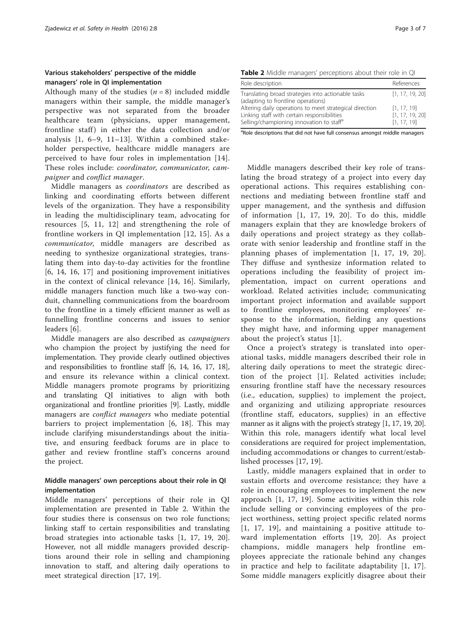# <span id="page-2-0"></span>Various stakeholders' perspective of the middle managers' role in QI implementation

Although many of the studies  $(n = 8)$  included middle managers within their sample, the middle manager's perspective was not separated from the broader healthcare team (physicians, upper management, frontline staff) in either the data collection and/or analysis [\[1](#page-6-0), [6](#page-6-0)–[9](#page-6-0), [11](#page-6-0)–[13\]](#page-6-0). Within a combined stakeholder perspective, healthcare middle managers are perceived to have four roles in implementation [[14](#page-6-0)]. These roles include: coordinator, communicator, campaigner and conflict manager.

Middle managers as coordinators are described as linking and coordinating efforts between different levels of the organization. They have a responsibility in leading the multidisciplinary team, advocating for resources [[5, 11](#page-6-0), [12](#page-6-0)] and strengthening the role of frontline workers in QI implementation [[12, 15\]](#page-6-0). As a communicator, middle managers are described as needing to synthesize organizational strategies, translating them into day-to-day activities for the frontline [[6, 14, 16](#page-6-0), [17\]](#page-6-0) and positioning improvement initiatives in the context of clinical relevance [\[14](#page-6-0), [16\]](#page-6-0). Similarly, middle managers function much like a two-way conduit, channelling communications from the boardroom to the frontline in a timely efficient manner as well as funnelling frontline concerns and issues to senior leaders [[6\]](#page-6-0).

Middle managers are also described as campaigners who champion the project by justifying the need for implementation. They provide clearly outlined objectives and responsibilities to frontline staff [[6](#page-6-0), [14, 16, 17](#page-6-0), [18](#page-6-0)], and ensure its relevance within a clinical context. Middle managers promote programs by prioritizing and translating QI initiatives to align with both organizational and frontline priorities [[9](#page-6-0)]. Lastly, middle managers are conflict managers who mediate potential barriers to project implementation [[6](#page-6-0), [18\]](#page-6-0). This may include clarifying misunderstandings about the initiative, and ensuring feedback forums are in place to gather and review frontline staff's concerns around the project.

# Middle managers' own perceptions about their role in QI implementation

Middle managers' perceptions of their role in QI implementation are presented in Table 2. Within the four studies there is consensus on two role functions; linking staff to certain responsibilities and translating broad strategies into actionable tasks [[1](#page-6-0), [17](#page-6-0), [19, 20](#page-6-0)]. However, not all middle managers provided descriptions around their role in selling and championing innovation to staff, and altering daily operations to meet strategical direction [[17, 19](#page-6-0)].

| .                                                                                                                                                              |                                               |
|----------------------------------------------------------------------------------------------------------------------------------------------------------------|-----------------------------------------------|
| Role description                                                                                                                                               | References                                    |
| Translating broad strategies into actionable tasks<br>(adapting to frontline operations)                                                                       | [1, 17, 19, 20]                               |
| Altering daily operations to meet strategical direction<br>Linking staff with certain responsibilities<br>Selling/championing innovation to staff <sup>a</sup> | [1, 17, 19]<br>[1, 17, 19, 20]<br>[1, 17, 19] |

<sup>a</sup>Role descriptions that did not have full consensus amongst middle managers

Middle managers described their key role of translating the broad strategy of a project into every day operational actions. This requires establishing connections and mediating between frontline staff and upper management, and the synthesis and diffusion of information [[1, 17](#page-6-0), [19, 20](#page-6-0)]. To do this, middle managers explain that they are knowledge brokers of daily operations and project strategy as they collaborate with senior leadership and frontline staff in the planning phases of implementation [[1, 17](#page-6-0), [19, 20](#page-6-0)]. They diffuse and synthesize information related to operations including the feasibility of project implementation, impact on current operations and workload. Related activities include; communicating important project information and available support to frontline employees, monitoring employees' response to the information, fielding any questions they might have, and informing upper management about the project's status [\[1\]](#page-6-0).

Once a project's strategy is translated into operational tasks, middle managers described their role in altering daily operations to meet the strategic direction of the project [[1\]](#page-6-0). Related activities include; ensuring frontline staff have the necessary resources (i.e., education, supplies) to implement the project, and organizing and utilizing appropriate resources (frontline staff, educators, supplies) in an effective manner as it aligns with the project's strategy [[1](#page-6-0), [17](#page-6-0), [19](#page-6-0), [20](#page-6-0)]. Within this role, managers identify what local level considerations are required for project implementation, including accommodations or changes to current/established processes [[17, 19\]](#page-6-0).

Lastly, middle managers explained that in order to sustain efforts and overcome resistance; they have a role in encouraging employees to implement the new approach [[1, 17, 19\]](#page-6-0). Some activities within this role include selling or convincing employees of the project worthiness, setting project specific related norms [[1](#page-6-0), [17](#page-6-0), [19\]](#page-6-0), and maintaining a positive attitude toward implementation efforts [\[19, 20\]](#page-6-0). As project champions, middle managers help frontline employees appreciate the rationale behind any changes in practice and help to facilitate adaptability [[1, 17](#page-6-0)]. Some middle managers explicitly disagree about their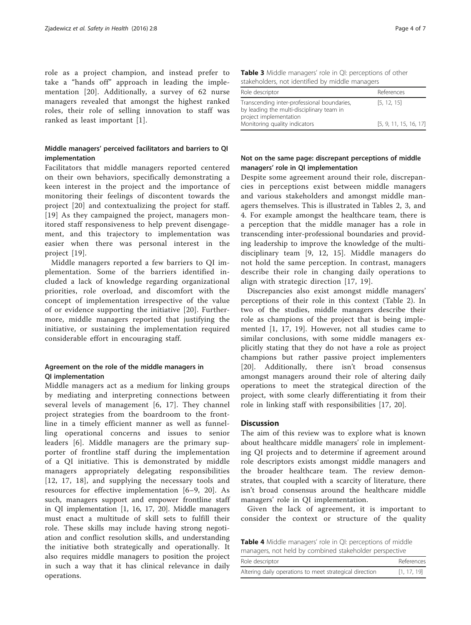role as a project champion, and instead prefer to take a "hands off" approach in leading the implementation [[20\]](#page-6-0). Additionally, a survey of 62 nurse managers revealed that amongst the highest ranked roles, their role of selling innovation to staff was ranked as least important [[1\]](#page-6-0).

# Middle managers' perceived facilitators and barriers to QI implementation

Facilitators that middle managers reported centered on their own behaviors, specifically demonstrating a keen interest in the project and the importance of monitoring their feelings of discontent towards the project [\[20](#page-6-0)] and contextualizing the project for staff. [[19](#page-6-0)] As they campaigned the project, managers monitored staff responsiveness to help prevent disengagement, and this trajectory to implementation was easier when there was personal interest in the project [[19](#page-6-0)].

Middle managers reported a few barriers to QI implementation. Some of the barriers identified included a lack of knowledge regarding organizational priorities, role overload, and discomfort with the concept of implementation irrespective of the value of or evidence supporting the initiative [\[20](#page-6-0)]. Furthermore, middle managers reported that justifying the initiative, or sustaining the implementation required considerable effort in encouraging staff.

# Agreement on the role of the middle managers in QI implementation

Middle managers act as a medium for linking groups by mediating and interpreting connections between several levels of management [[6, 17\]](#page-6-0). They channel project strategies from the boardroom to the frontline in a timely efficient manner as well as funnelling operational concerns and issues to senior leaders [[6\]](#page-6-0). Middle managers are the primary supporter of frontline staff during the implementation of a QI initiative. This is demonstrated by middle managers appropriately delegating responsibilities [[12](#page-6-0), [17](#page-6-0), [18](#page-6-0)], and supplying the necessary tools and resources for effective implementation [\[6](#page-6-0)–[9](#page-6-0), [20](#page-6-0)]. As such, managers support and empower frontline staff in QI implementation [[1](#page-6-0), [16, 17](#page-6-0), [20](#page-6-0)]. Middle managers must enact a multitude of skill sets to fulfill their role. These skills may include having strong negotiation and conflict resolution skills, and understanding the initiative both strategically and operationally. It also requires middle managers to position the project in such a way that it has clinical relevance in daily operations.

| stakeholders, not identified by middle managers                                                                    |                        |
|--------------------------------------------------------------------------------------------------------------------|------------------------|
| Role descriptor                                                                                                    | References             |
| Transcending inter-professional boundaries,<br>by leading the multi-disciplinary team in<br>project implementation | [5, 12, 15]            |
| Monitoring quality indicators                                                                                      | [5, 9, 11, 15, 16, 17] |

# Not on the same page: discrepant perceptions of middle managers' role in QI implementation

Despite some agreement around their role, discrepancies in perceptions exist between middle managers and various stakeholders and amongst middle managers themselves. This is illustrated in Tables [2,](#page-2-0) 3, and 4. For example amongst the healthcare team, there is a perception that the middle manager has a role in transcending inter-professional boundaries and providing leadership to improve the knowledge of the multidisciplinary team [\[9](#page-6-0), [12, 15\]](#page-6-0). Middle managers do not hold the same perception. In contrast, managers describe their role in changing daily operations to align with strategic direction [[17](#page-6-0), [19\]](#page-6-0).

Discrepancies also exist amongst middle managers' perceptions of their role in this context (Table [2\)](#page-2-0). In two of the studies, middle managers describe their role as champions of the project that is being implemented [[1](#page-6-0), [17](#page-6-0), [19](#page-6-0)]. However, not all studies came to similar conclusions, with some middle managers explicitly stating that they do not have a role as project champions but rather passive project implementers [[20\]](#page-6-0). Additionally, there isn't broad consensus amongst managers around their role of altering daily operations to meet the strategical direction of the project, with some clearly differentiating it from their role in linking staff with responsibilities [\[17](#page-6-0), [20\]](#page-6-0).

# **Discussion**

The aim of this review was to explore what is known about healthcare middle managers' role in implementing QI projects and to determine if agreement around role descriptors exists amongst middle managers and the broader healthcare team. The review demonstrates, that coupled with a scarcity of literature, there isn't broad consensus around the healthcare middle managers' role in QI implementation.

Given the lack of agreement, it is important to consider the context or structure of the quality

Table 4 Middle managers' role in QI: perceptions of middle managers, not held by combined stakeholder perspective

| Role descriptor                                         | References  |
|---------------------------------------------------------|-------------|
| Altering daily operations to meet strategical direction | [1, 17, 19] |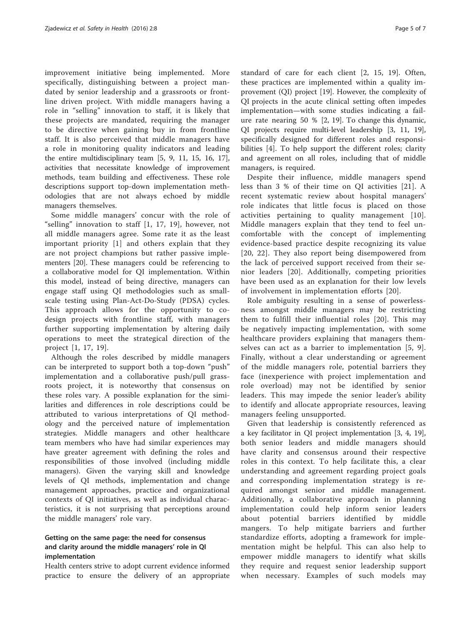improvement initiative being implemented. More specifically, distinguishing between a project mandated by senior leadership and a grassroots or frontline driven project. With middle managers having a role in "selling" innovation to staff, it is likely that these projects are mandated, requiring the manager to be directive when gaining buy in from frontline staff. It is also perceived that middle managers have a role in monitoring quality indicators and leading the entire multidisciplinary team [\[5, 9, 11](#page-6-0), [15](#page-6-0), [16, 17](#page-6-0)], activities that necessitate knowledge of improvement methods, team building and effectiveness. These role descriptions support top-down implementation methodologies that are not always echoed by middle managers themselves.

Some middle managers' concur with the role of "selling" innovation to staff [\[1](#page-6-0), [17](#page-6-0), [19](#page-6-0)], however, not all middle managers agree. Some rate it as the least important priority [[1](#page-6-0)] and others explain that they are not project champions but rather passive implementers [[20](#page-6-0)]. These managers could be referencing to a collaborative model for QI implementation. Within this model, instead of being directive, managers can engage staff using QI methodologies such as smallscale testing using Plan-Act-Do-Study (PDSA) cycles. This approach allows for the opportunity to codesign projects with frontline staff, with managers further supporting implementation by altering daily operations to meet the strategical direction of the project [[1, 17](#page-6-0), [19\]](#page-6-0).

Although the roles described by middle managers can be interpreted to support both a top-down "push" implementation and a collaborative push/pull grassroots project, it is noteworthy that consensus on these roles vary. A possible explanation for the similarities and differences in role descriptions could be attributed to various interpretations of QI methodology and the perceived nature of implementation strategies. Middle managers and other healthcare team members who have had similar experiences may have greater agreement with defining the roles and responsibilities of those involved (including middle managers). Given the varying skill and knowledge levels of QI methods, implementation and change management approaches, practice and organizational contexts of QI initiatives, as well as individual characteristics, it is not surprising that perceptions around the middle managers' role vary.

# Getting on the same page: the need for consensus and clarity around the middle managers' role in QI implementation

Health centers strive to adopt current evidence informed practice to ensure the delivery of an appropriate

standard of care for each client [\[2](#page-6-0), [15, 19\]](#page-6-0). Often, these practices are implemented within a quality improvement (QI) project [[19](#page-6-0)]. However, the complexity of QI projects in the acute clinical setting often impedes implementation—with some studies indicating a failure rate nearing 50 % [\[2](#page-6-0), [19](#page-6-0)]. To change this dynamic, QI projects require multi-level leadership [[3, 11, 19](#page-6-0)], specifically designed for different roles and responsibilities [[4\]](#page-6-0). To help support the different roles; clarity and agreement on all roles, including that of middle managers, is required.

Despite their influence, middle managers spend less than 3 % of their time on QI activities [[21\]](#page-6-0). A recent systematic review about hospital managers' role indicates that little focus is placed on those activities pertaining to quality management [[10](#page-6-0)]. Middle managers explain that they tend to feel uncomfortable with the concept of implementing evidence-based practice despite recognizing its value [[20](#page-6-0), [22\]](#page-6-0). They also report being disempowered from the lack of perceived support received from their senior leaders [[20](#page-6-0)]. Additionally, competing priorities have been used as an explanation for their low levels of involvement in implementation efforts [\[20\]](#page-6-0).

Role ambiguity resulting in a sense of powerlessness amongst middle managers may be restricting them to fulfill their influential roles [[20](#page-6-0)]. This may be negatively impacting implementation, with some healthcare providers explaining that managers themselves can act as a barrier to implementation [[5, 9](#page-6-0)]. Finally, without a clear understanding or agreement of the middle managers role, potential barriers they face (inexperience with project implementation and role overload) may not be identified by senior leaders. This may impede the senior leader's ability to identify and allocate appropriate resources, leaving managers feeling unsupported.

Given that leadership is consistently referenced as a key facilitator in QI project implementation [[3, 4, 19](#page-6-0)], both senior leaders and middle managers should have clarity and consensus around their respective roles in this context. To help facilitate this, a clear understanding and agreement regarding project goals and corresponding implementation strategy is required amongst senior and middle management. Additionally, a collaborative approach in planning implementation could help inform senior leaders about potential barriers identified by middle mangers. To help mitigate barriers and further standardize efforts, adopting a framework for implementation might be helpful. This can also help to empower middle managers to identify what skills they require and request senior leadership support when necessary. Examples of such models may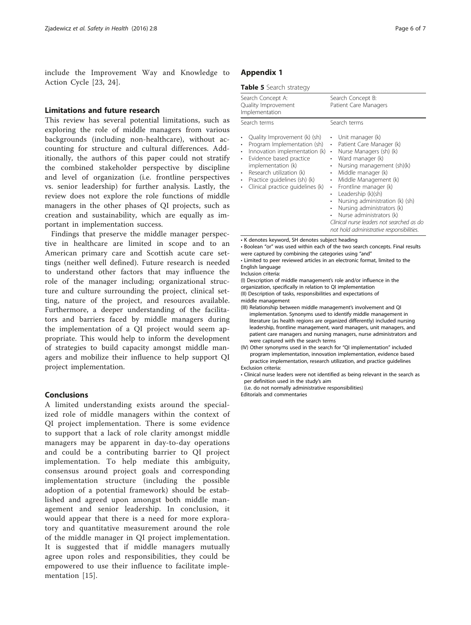<span id="page-5-0"></span>include the Improvement Way and Knowledge to Action Cycle [[23](#page-6-0), [24\]](#page-6-0).

# Limitations and future research

This review has several potential limitations, such as exploring the role of middle managers from various backgrounds (including non-healthcare), without accounting for structure and cultural differences. Additionally, the authors of this paper could not stratify the combined stakeholder perspective by discipline and level of organization (i.e. frontline perspectives vs. senior leadership) for further analysis. Lastly, the review does not explore the role functions of middle managers in the other phases of QI projects, such as creation and sustainability, which are equally as important in implementation success.

Findings that preserve the middle manager perspective in healthcare are limited in scope and to an American primary care and Scottish acute care settings (neither well defined). Future research is needed to understand other factors that may influence the role of the manager including; organizational structure and culture surrounding the project, clinical setting, nature of the project, and resources available. Furthermore, a deeper understanding of the facilitators and barriers faced by middle managers during the implementation of a QI project would seem appropriate. This would help to inform the development of strategies to build capacity amongst middle managers and mobilize their influence to help support QI project implementation.

#### Conclusions

A limited understanding exists around the specialized role of middle managers within the context of QI project implementation. There is some evidence to support that a lack of role clarity amongst middle managers may be apparent in day-to-day operations and could be a contributing barrier to QI project implementation. To help mediate this ambiguity, consensus around project goals and corresponding implementation structure (including the possible adoption of a potential framework) should be established and agreed upon amongst both middle management and senior leadership. In conclusion, it would appear that there is a need for more exploratory and quantitative measurement around the role of the middle manager in QI project implementation. It is suggested that if middle managers mutually agree upon roles and responsibilities, they could be empowered to use their influence to facilitate implementation [\[15\]](#page-6-0).

# Appendix 1

Table 5 Search strategy

| ر ر<br>Search Concept A:<br>Quality Improvement<br>Implementation                                                                                                                                                                                                  | Search Concept B:<br>Patient Care Managers                                                                                                                                                                                                                                                                                                                                           |
|--------------------------------------------------------------------------------------------------------------------------------------------------------------------------------------------------------------------------------------------------------------------|--------------------------------------------------------------------------------------------------------------------------------------------------------------------------------------------------------------------------------------------------------------------------------------------------------------------------------------------------------------------------------------|
| Search terms<br>Quality Improvement (k) (sh)<br>Program Implementation (sh)<br>Innovation implementation (k)<br>Evidence based practice<br>٠<br>implementation (k)<br>Research utilization (k)<br>Practice quidelines (sh) (k)<br>Clinical practice quidelines (k) | Search terms<br>Unit manager (k)<br>٠<br>Patient Care Manager (k)<br>$\bullet$<br>Nurse Managers (sh) (k)<br>• Ward manager (k)<br>Nursing management (sh)(k)<br>Middle manager (k)<br>۰<br>Middle Management (k)<br>٠<br>Frontline manager (k)<br>$\bullet$<br>Leadership (k)(sh)<br>٠<br>Nursing administration (k) (sh)<br>Nursing administrators (k)<br>Nurse administrators (k) |
|                                                                                                                                                                                                                                                                    | Clinical nurse leaders not searched as do<br>not hold administrative responsibilities.<br>.                                                                                                                                                                                                                                                                                          |

• K denotes keyword, SH denotes subject heading

• Boolean "or" was used within each of the two search concepts. Final results were captured by combining the categories using "and"

• Limited to peer reviewed articles in an electronic format, limited to the English language

Inclusion criteria:

(I) Description of middle management's role and/or influence in the organization, specifically in relation to QI implementation (II) Description of tasks, responsibilities and expectations of

middle management

(III) Relationship between middle management's involvement and QI implementation. Synonyms used to identify middle management in literature (as health regions are organized differently) included nursing leadership, frontline management, ward managers, unit managers, and patient care managers and nursing managers, nurse administrators and were captured with the search terms

(IV) Other synonyms used in the search for "QI implementation" included program implementation, innovation implementation, evidence based practice implementation, research utilization, and practice guidelines Exclusion criteria:

• Clinical nurse leaders were not identified as being relevant in the search as per definition used in the study's aim

(i.e. do not normally administrative responsibilities)

Editorials and commentaries